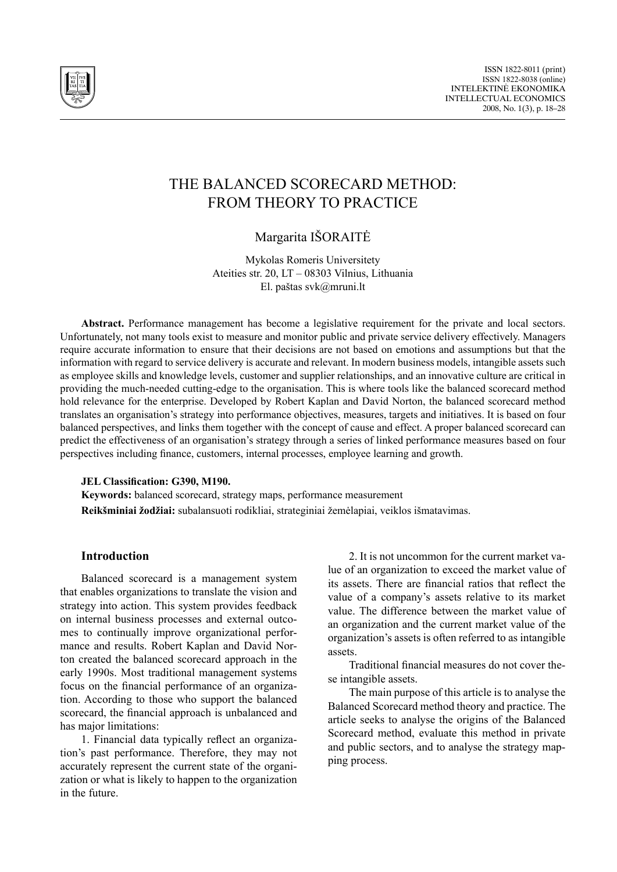

# THE BALANCED SCORECARD METHOD: FROM THEORY TO PRACTICE

Margarita IŠORAITĖ

Mykolas Romeris Universitety Ateities str. 20, LT – 08303 Vilnius, Lithuania El. paštas svk@mruni.lt

**Abstract.** Performance management has become a legislative requirement for the private and local sectors. Unfortunately, not many tools exist to measure and monitor public and private service delivery effectively. Managers require accurate information to ensure that their decisions are not based on emotions and assumptions but that the information with regard to service delivery is accurate and relevant. In modern business models, intangible assets such as employee skills and knowledge levels, customer and supplier relationships, and an innovative culture are critical in providing the much-needed cutting-edge to the organisation. This is where tools like the balanced scorecard method hold relevance for the enterprise. Developed by Robert Kaplan and David Norton, the balanced scorecard method translates an organisation's strategy into performance objectives, measures, targets and initiatives. It is based on four balanced perspectives, and links them together with the concept of cause and effect. A proper balanced scorecard can predict the effectiveness of an organisation's strategy through a series of linked performance measures based on four perspectives including finance, customers, internal processes, employee learning and growth.

#### **JEL Classification: G390, M190.**

**Keywords:** balanced scorecard, strategy maps, performance measurement **Reikšminiai žodžiai:** subalansuoti rodikliai, strateginiai žemėlapiai, veiklos išmatavimas.

## **Introduction**

Balanced scorecard is a management system that enables organizations to translate the vision and strategy into action. This system provides feedback on internal business processes and external outcomes to continually improve organizational performance and results. Robert Kaplan and David Norton created the balanced scorecard approach in the early 1990s. Most traditional management systems focus on the financial performance of an organization. According to those who support the balanced scorecard, the financial approach is unbalanced and has major limitations:

1. Financial data typically reflect an organization's past performance. Therefore, they may not accurately represent the current state of the organization or what is likely to happen to the organization in the future.

2. It is not uncommon for the current market value of an organization to exceed the market value of its assets. There are financial ratios that reflect the value of a company's assets relative to its market value. The difference between the market value of an organization and the current market value of the organization's assets is often referred to as intangible assets.

Traditional financial measures do not cover these intangible assets.

The main purpose of this article is to analyse the Balanced Scorecard method theory and practice. The article seeks to analyse the origins of the Balanced Scorecard method, evaluate this method in private and public sectors, and to analyse the strategy mapping process.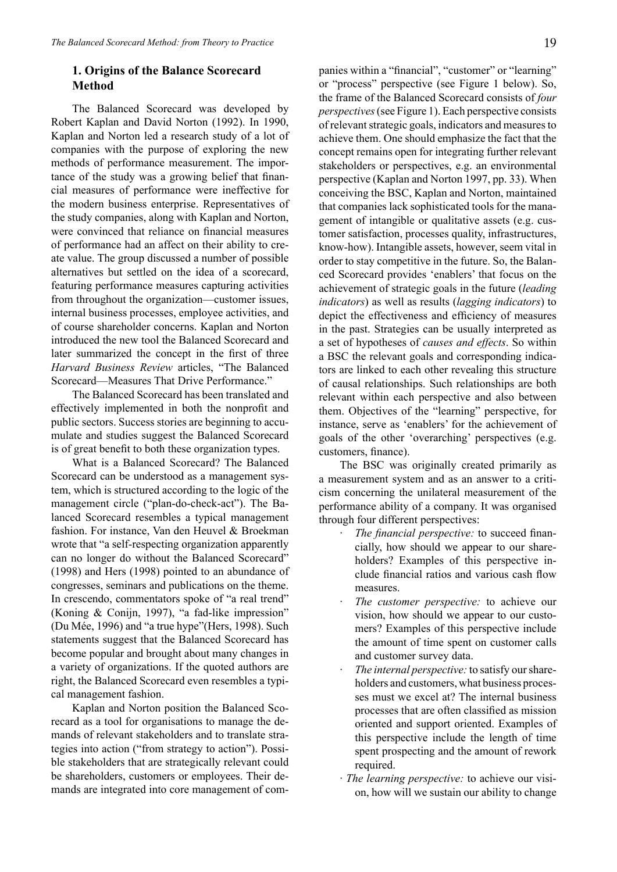# **1. Origins of the Balance Scorecard Method**

The Balanced Scorecard was developed by Robert Kaplan and David Norton (1992). In 1990, Kaplan and Norton led a research study of a lot of companies with the purpose of exploring the new methods of performance measurement. The importance of the study was a growing belief that financial measures of performance were ineffective for the modern business enterprise. Representatives of the study companies, along with Kaplan and Norton, were convinced that reliance on financial measures of performance had an affect on their ability to create value. The group discussed a number of possible alternatives but settled on the idea of a scorecard, featuring performance measures capturing activities from throughout the organization—customer issues, internal business processes, employee activities, and of course shareholder concerns. Kaplan and Norton introduced the new tool the Balanced Scorecard and later summarized the concept in the first of three *Harvard Business Review* articles, "The Balanced Scorecard—Measures That Drive Performance."

The Balanced Scorecard has been translated and effectively implemented in both the nonprofit and public sectors. Success stories are beginning to accumulate and studies suggest the Balanced Scorecard is of great benefit to both these organization types.

What is a Balanced Scorecard? The Balanced Scorecard can be understood as a management system, which is structured according to the logic of the management circle ("plan-do-check-act"). The Balanced Scorecard resembles a typical management fashion. For instance, Van den Heuvel & Broekman wrote that "a self-respecting organization apparently can no longer do without the Balanced Scorecard" (1998) and Hers (1998) pointed to an abundance of congresses, seminars and publications on the theme. In crescendo, commentators spoke of "a real trend" (Koning & Conijn, 1997), "a fad-like impression" (Du Mée, 1996) and "a true hype"(Hers, 1998). Such statements suggest that the Balanced Scorecard has become popular and brought about many changes in a variety of organizations. If the quoted authors are right, the Balanced Scorecard even resembles a typical management fashion.

Kaplan and Norton position the Balanced Scorecard as a tool for organisations to manage the demands of relevant stakeholders and to translate strategies into action ("from strategy to action"). Possible stakeholders that are strategically relevant could be shareholders, customers or employees. Their demands are integrated into core management of companies within a "financial", "customer" or "learning" or "process" perspective (see Figure 1 below). So, the frame of the Balanced Scorecard consists of *four perspectives* (see Figure 1). Each perspective consists of relevant strategic goals, indicators and measures to achieve them. One should emphasize the fact that the concept remains open for integrating further relevant stakeholders or perspectives, e.g. an environmental perspective (Kaplan and Norton 1997, pp. 33). When conceiving the BSC, Kaplan and Norton, maintained that companies lack sophisticated tools for the management of intangible or qualitative assets (e.g. customer satisfaction, processes quality, infrastructures, know-how). Intangible assets, however, seem vital in order to stay competitive in the future. So, the Balanced Scorecard provides 'enablers' that focus on the achievement of strategic goals in the future (*leading indicators*) as well as results (*lagging indicators*) to depict the effectiveness and efficiency of measures in the past. Strategies can be usually interpreted as a set of hypotheses of *causes and effects*. So within a BSC the relevant goals and corresponding indicators are linked to each other revealing this structure of causal relationships. Such relationships are both relevant within each perspective and also between them. Objectives of the "learning" perspective, for instance, serve as 'enablers' for the achievement of goals of the other 'overarching' perspectives (e.g. customers, finance).

The BSC was originally created primarily as a measurement system and as an answer to a criticism concerning the unilateral measurement of the performance ability of a company. It was organised through four different perspectives:

- The financial perspective: to succeed financially, how should we appear to our shareholders? Examples of this perspective include financial ratios and various cash flow measures.
- The customer perspective: to achieve our vision, how should we appear to our customers? Examples of this perspective include the amount of time spent on customer calls and customer survey data.
- The internal perspective: to satisfy our shareholders and customers, what business processes must we excel at? The internal business processes that are often classified as mission oriented and support oriented. Examples of this perspective include the length of time spent prospecting and the amount of rework required.
- · *The learning perspective:* to achieve our vision, how will we sustain our ability to change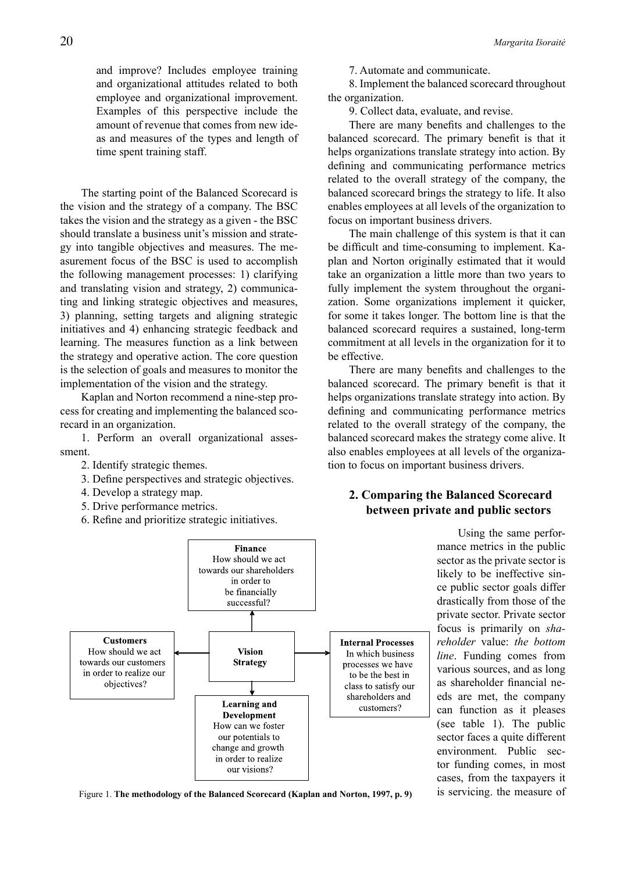and improve? Includes employee training and organizational attitudes related to both employee and organizational improvement. Examples of this perspective include the amount of revenue that comes from new ideas and measures of the types and length of time spent training staff.

The starting point of the Balanced Scorecard is the vision and the strategy of a company. The BSC takes the vision and the strategy as a given - the BSC should translate a business unit's mission and strategy into tangible objectives and measures. The measurement focus of the BSC is used to accomplish the following management processes: 1) clarifying and translating vision and strategy, 2) communicating and linking strategic objectives and measures, 3) planning, setting targets and aligning strategic initiatives and 4) enhancing strategic feedback and learning. The measures function as a link between the strategy and operative action. The core question is the selection of goals and measures to monitor the implementation of the vision and the strategy.

Kaplan and Norton recommend a nine-step process for creating and implementing the balanced scorecard in an organization.

1. Perform an overall organizational assessment.

- 2. Identify strategic themes.
- 3. Define perspectives and strategic objectives.
- 4. Develop a strategy map.
- 5. Drive performance metrics.
- 6. Refine and prioritize strategic initiatives.



8. Implement the balanced scorecard throughout the organization.

9. Collect data, evaluate, and revise.

There are many benefits and challenges to the balanced scorecard. The primary benefit is that it helps organizations translate strategy into action. By defining and communicating performance metrics related to the overall strategy of the company, the balanced scorecard brings the strategy to life. It also enables employees at all levels of the organization to focus on important business drivers.

The main challenge of this system is that it can be difficult and time-consuming to implement. Kaplan and Norton originally estimated that it would take an organization a little more than two years to fully implement the system throughout the organization. Some organizations implement it quicker, for some it takes longer. The bottom line is that the balanced scorecard requires a sustained, long-term commitment at all levels in the organization for it to be effective.

There are many benefits and challenges to the balanced scorecard. The primary benefit is that it helps organizations translate strategy into action. By defining and communicating performance metrics related to the overall strategy of the company, the balanced scorecard makes the strategy come alive. It also enables employees at all levels of the organization to focus on important business drivers.

# **2. Comparing the Balanced Scorecard between private and public sectors**

Using the same performance metrics in the public sector as the private sector is likely to be ineffective since public sector goals differ drastically from those of the private sector. Private sector focus is primarily on *shareholder* value: *the bottom*  **Internal Processes** In which business *line*. Funding comes from processes we have various sources, and as long to be the best in as shareholder financial neclass to satisfy our eds are met, the company shareholders and customers? can function as it pleases (see table 1). The public sector faces a quite different environment. Public sector funding comes, in most cases, from the taxpayers it Figure 1. The methodology of the Balanced Scorecard (Kaplan and Norton, 1997, p. 9) is servicing. the measure of

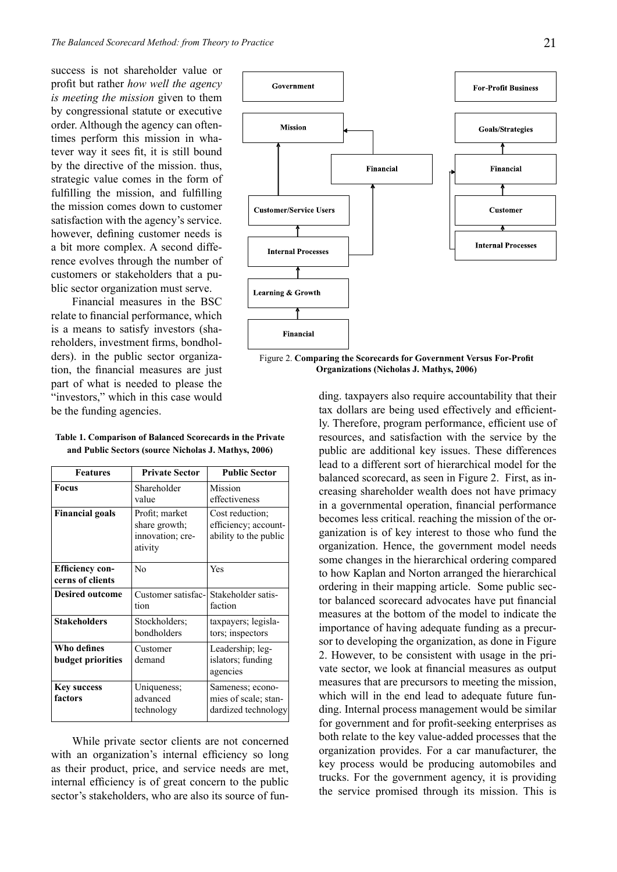success is not shareholder value or profit but rather *how well the agency is meeting the mission* given to them by congressional statute or executive order. Although the agency can oftentimes perform this mission in whatever way it sees fit, it is still bound by the directive of the mission. thus, strategic value comes in the form of fulfilling the mission, and fulfilling the mission comes down to customer satisfaction with the agency's service. however, defining customer needs is a bit more complex. A second difference evolves through the number of customers or stakeholders that a public sector organization must serve.

Financial measures in the BSC relate to financial performance, which is a means to satisfy investors (shareholders, investment firms, bondholders). in the public sector organization, the financial measures are just part of what is needed to please the "investors," which in this case would be the funding agencies.

| <b>Features</b>                            | <b>Private Sector</b>                                          | <b>Public Sector</b>                                             |
|--------------------------------------------|----------------------------------------------------------------|------------------------------------------------------------------|
| <b>Focus</b>                               | Shareholder<br>value                                           | Mission<br>effectiveness                                         |
| <b>Financial goals</b>                     | Profit; market<br>share growth;<br>innovation; cre-<br>ativity | Cost reduction;<br>efficiency; account-<br>ability to the public |
| <b>Efficiency con-</b><br>cerns of clients | No                                                             | Yes                                                              |
| <b>Desired outcome</b>                     | Customer satisfac-<br>tion                                     | Stakeholder satis-<br>faction                                    |
| <b>Stakeholders</b>                        | Stockholders;<br>bondholders                                   | taxpayers; legisla-<br>tors; inspectors                          |
| Who defines<br>budget priorities           | Customer<br>demand                                             | Leadership; leg-<br>islators; funding<br>agencies                |
| <b>Key success</b><br>factors              | Uniqueness;<br>advanced<br>technology                          | Sameness; econo-<br>mies of scale; stan-<br>dardized technology  |

**Table 1. Comparison of Balanced Scorecards in the Private and Public Sectors (source Nicholas J. Mathys, 2006)** 

While private sector clients are not concerned with an organization's internal efficiency so long as their product, price, and service needs are met, internal efficiency is of great concern to the public sector's stakeholders, who are also its source of fun-



Figure 2. **Comparing the Scorecards for Government Versus For-Profit Organizations (Nicholas J. Mathys, 2006)**

ding. taxpayers also require accountability that their tax dollars are being used effectively and efficiently. Therefore, program performance, efficient use of resources, and satisfaction with the service by the public are additional key issues. These differences lead to a different sort of hierarchical model for the balanced scorecard, as seen in Figure 2. First, as increasing shareholder wealth does not have primacy in a governmental operation, financial performance becomes less critical. reaching the mission of the organization is of key interest to those who fund the organization. Hence, the government model needs some changes in the hierarchical ordering compared to how Kaplan and Norton arranged the hierarchical ordering in their mapping article. Some public sector balanced scorecard advocates have put financial measures at the bottom of the model to indicate the importance of having adequate funding as a precursor to developing the organization, as done in Figure 2. However, to be consistent with usage in the private sector, we look at financial measures as output measures that are precursors to meeting the mission, which will in the end lead to adequate future funding. Internal process management would be similar for government and for profit-seeking enterprises as both relate to the key value-added processes that the organization provides. For a car manufacturer, the key process would be producing automobiles and trucks. For the government agency, it is providing the service promised through its mission. This is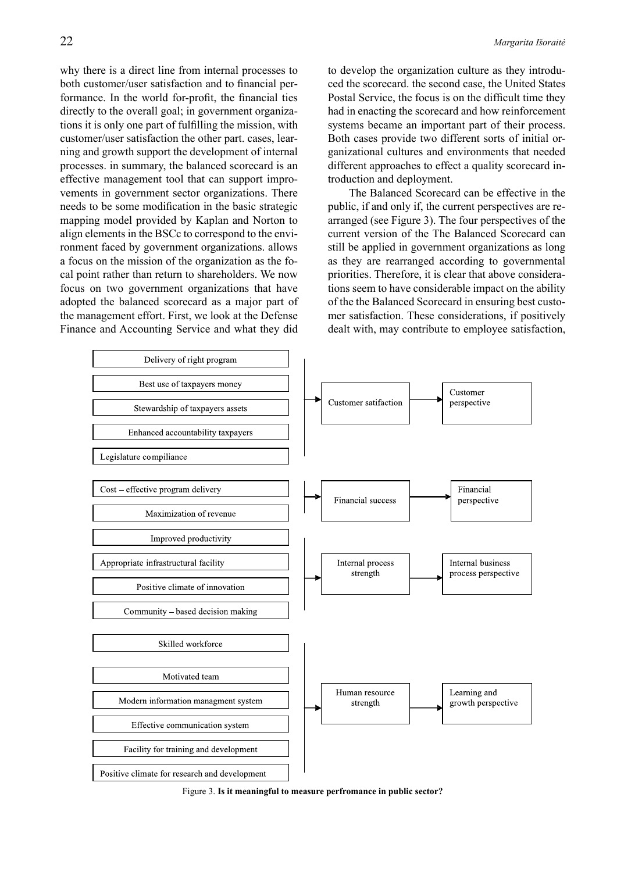why there is a direct line from internal processes to both customer/user satisfaction and to financial performance. In the world for-profit, the financial ties directly to the overall goal; in government organizations it is only one part of fulfilling the mission, with customer/user satisfaction the other part. cases, learning and growth support the development of internal processes. in summary, the balanced scorecard is an effective management tool that can support improvements in government sector organizations. There needs to be some modification in the basic strategic mapping model provided by Kaplan and Norton to align elements in the BSCc to correspond to the environment faced by government organizations. allows a focus on the mission of the organization as the focal point rather than return to shareholders. We now focus on two government organizations that have adopted the balanced scorecard as a major part of the management effort. First, we look at the Defense Finance and Accounting Service and what they did to develop the organization culture as they introduced the scorecard. the second case, the United States Postal Service, the focus is on the difficult time they had in enacting the scorecard and how reinforcement systems became an important part of their process. Both cases provide two different sorts of initial organizational cultures and environments that needed different approaches to effect a quality scorecard introduction and deployment.

The Balanced Scorecard can be effective in the public, if and only if, the current perspectives are rearranged (see Figure 3). The four perspectives of the current version of the The Balanced Scorecard can still be applied in government organizations as long as they are rearranged according to governmental priorities. Therefore, it is clear that above considerations seem to have considerable impact on the ability of the the Balanced Scorecard in ensuring best customer satisfaction. These considerations, if positively dealt with, may contribute to employee satisfaction,



Figure 3. **Is it meaningful to measure perfromance in public sector?**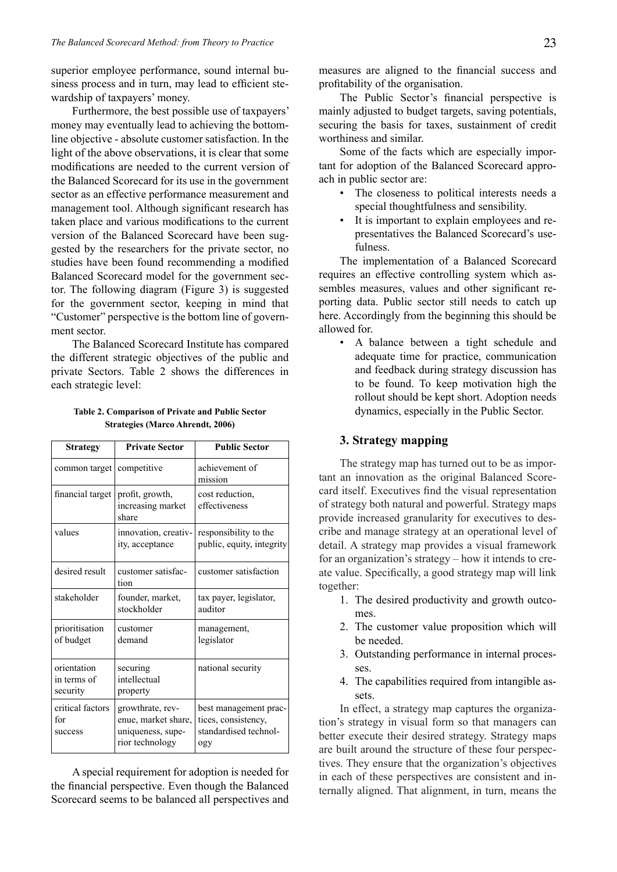superior employee performance, sound internal business process and in turn, may lead to efficient stewardship of taxpayers' money.

Furthermore, the best possible use of taxpayers' money may eventually lead to achieving the bottomline objective - absolute customer satisfaction. In the light of the above observations, it is clear that some modifications are needed to the current version of the Balanced Scorecard for its use in the government sector as an effective performance measurement and management tool. Although significant research has taken place and various modifications to the current version of the Balanced Scorecard have been suggested by the researchers for the private sector, no studies have been found recommending a modified Balanced Scorecard model for the government sector. The following diagram (Figure 3) is suggested for the government sector, keeping in mind that "Customer" perspective is the bottom line of government sector.

The Balanced Scorecard Institute has compared the different strategic objectives of the public and private Sectors. Table 2 shows the differences in each strategic level:

| Table 2. Comparison of Private and Public Sector |  |
|--------------------------------------------------|--|
| <b>Strategies (Marco Ahrendt, 2006)</b>          |  |

| <b>Strategy</b>                        | <b>Private Sector</b>                                                           | <b>Public Sector</b>                                                         |
|----------------------------------------|---------------------------------------------------------------------------------|------------------------------------------------------------------------------|
| common target   competitive            |                                                                                 | achievement of<br>mission                                                    |
| financial target                       | profit, growth,<br>increasing market<br>share                                   | cost reduction,<br>effectiveness                                             |
| values                                 | innovation, creativ-<br>ity, acceptance                                         | responsibility to the<br>public, equity, integrity                           |
| desired result                         | customer satisfac-<br>tion                                                      | customer satisfaction                                                        |
| stakeholder                            | founder, market,<br>stockholder                                                 | tax payer, legislator,<br>auditor                                            |
| prioritisation<br>of budget            | customer<br>demand                                                              | management,<br>legislator                                                    |
| orientation<br>in terms of<br>security | securing<br>intellectual<br>property                                            | national security                                                            |
| critical factors<br>for<br>success     | growthrate, rev-<br>enue, market share,<br>uniqueness, supe-<br>rior technology | best management prac-<br>tices, consistency,<br>standardised technol-<br>ogy |

A special requirement for adoption is needed for the financial perspective. Even though the Balanced Scorecard seems to be balanced all perspectives and

measures are aligned to the financial success and profitability of the organisation.

The Public Sector's financial perspective is mainly adjusted to budget targets, saving potentials, securing the basis for taxes, sustainment of credit worthiness and similar.

Some of the facts which are especially important for adoption of the Balanced Scorecard approach in public sector are:

- The closeness to political interests needs a special thoughtfulness and sensibility.
- It is important to explain employees and representatives the Balanced Scorecard's usefulness.

The implementation of a Balanced Scorecard requires an effective controlling system which assembles measures, values and other significant reporting data. Public sector still needs to catch up here. Accordingly from the beginning this should be allowed for.

• A balance between a tight schedule and adequate time for practice, communication and feedback during strategy discussion has to be found. To keep motivation high the rollout should be kept short. Adoption needs dynamics, especially in the Public Sector.

# **3. Strategy mapping**

The strategy map has turned out to be as important an innovation as the original Balanced Scorecard itself. Executives find the visual representation of strategy both natural and powerful. Strategy maps provide increased granularity for executives to describe and manage strategy at an operational level of detail. A strategy map provides a visual framework for an organization's strategy – how it intends to create value. Specifically, a good strategy map will link together:

- 1. The desired productivity and growth outcomes.
- 2. The customer value proposition which will be needed.
- 3. Outstanding performance in internal processes.
- 4. The capabilities required from intangible assets.

In effect, a strategy map captures the organization's strategy in visual form so that managers can better execute their desired strategy. Strategy maps are built around the structure of these four perspectives. They ensure that the organization's objectives in each of these perspectives are consistent and internally aligned. That alignment, in turn, means the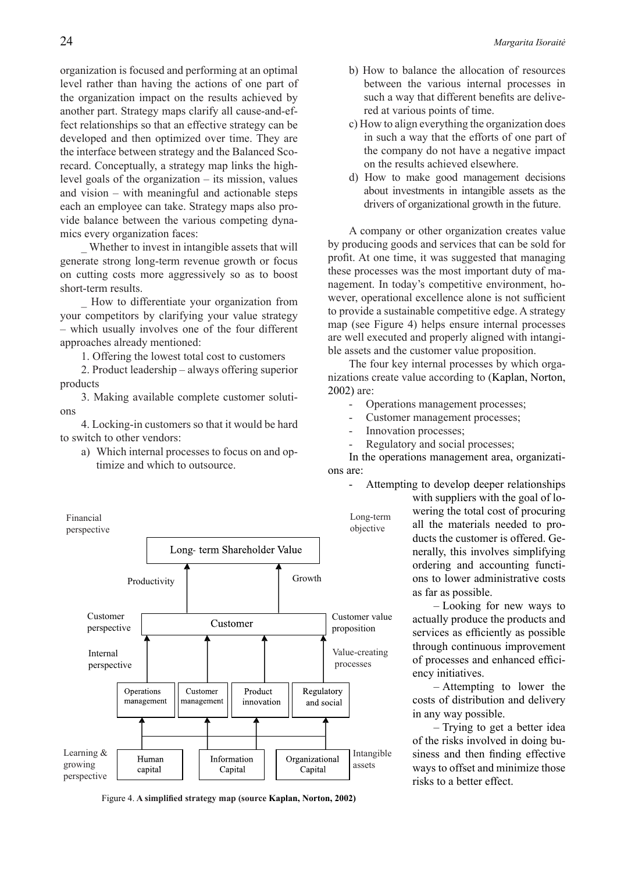organization is focused and performing at an optimal level rather than having the actions of one part of the organization impact on the results achieved by another part. Strategy maps clarify all cause-and-effect relationships so that an effective strategy can be developed and then optimized over time. They are the interface between strategy and the Balanced Scorecard. Conceptually, a strategy map links the highlevel goals of the organization – its mission, values and vision – with meaningful and actionable steps each an employee can take. Strategy maps also provide balance between the various competing dynamics every organization faces:

\_ Whether to invest in intangible assets that will generate strong long-term revenue growth or focus on cutting costs more aggressively so as to boost short-term results.

\_ How to differentiate your organization from your competitors by clarifying your value strategy – which usually involves one of the four different approaches already mentioned:

1. Offering the lowest total cost to customers

2. Product leadership – always offering superior products

3. Making available complete customer solutions

4. Locking-in customers so that it would be hard to switch to other vendors:

a) Which internal processes to focus on and optimize and which to outsource.



Figure 4. **A simplified strategy map (source Kaplan, Norton, 2002)**

- b) How to balance the allocation of resources between the various internal processes in such a way that different benefits are delivered at various points of time.
- c) How to align everything the organization does in such a way that the efforts of one part of the company do not have a negative impact on the results achieved elsewhere.
- d) How to make good management decisions about investments in intangible assets as the drivers of organizational growth in the future.

A company or other organization creates value by producing goods and services that can be sold for profit. At one time, it was suggested that managing these processes was the most important duty of management. In today's competitive environment, however, operational excellence alone is not sufficient to provide a sustainable competitive edge. A strategy map (see Figure 4) helps ensure internal processes are well executed and properly aligned with intangible assets and the customer value proposition.

The four key internal processes by which organizations create value according to (Kaplan, Norton, 2002) are:

- Operations management processes;
- Customer management processes;
- Innovation processes;
- Regulatory and social processes;

In the operations management area, organizations are:

Attempting to develop deeper relationships

with suppliers with the goal of lowering the total cost of procuring all the materials needed to products the customer is offered. Generally, this involves simplifying ordering and accounting functions to lower administrative costs as far as possible.

– Looking for new ways to actually produce the products and services as efficiently as possible through continuous improvement of processes and enhanced efficiency initiatives.

– Attempting to lower the costs of distribution and delivery in any way possible.

– Trying to get a better idea of the risks involved in doing business and then finding effective ways to offset and minimize those risks to a better effect.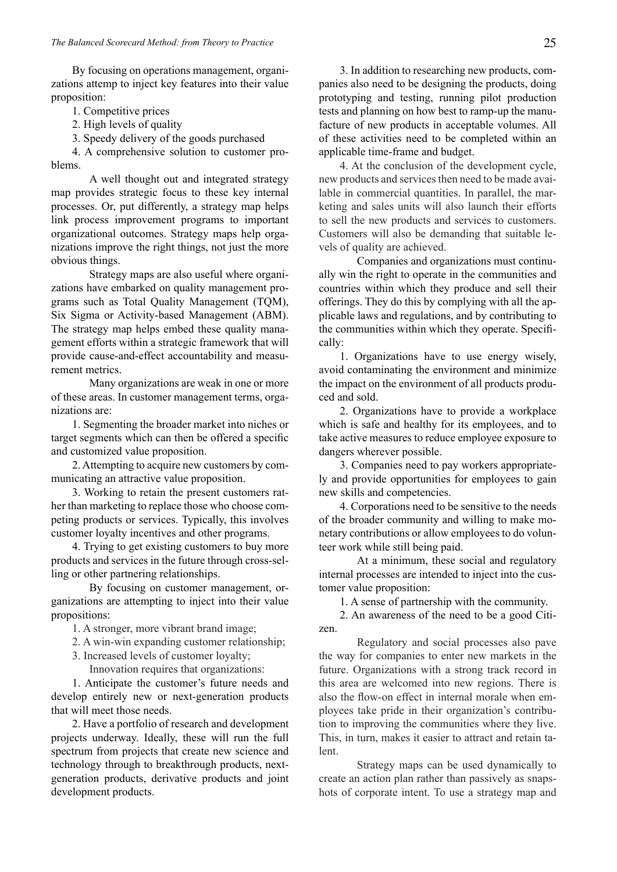By focusing on operations management, organizations attemp to inject key features into their value proposition:

1. Competitive prices

2. High levels of quality

3. Speedy delivery of the goods purchased

4. A comprehensive solution to customer problems.

A well thought out and integrated strategy map provides strategic focus to these key internal processes. Or, put differently, a strategy map helps link process improvement programs to important organizational outcomes. Strategy maps help organizations improve the right things, not just the more obvious things.

Strategy maps are also useful where organizations have embarked on quality management programs such as Total Quality Management (TQM), Six Sigma or Activity-based Management (ABM). The strategy map helps embed these quality management efforts within a strategic framework that will provide cause-and-effect accountability and measurement metrics.

Many organizations are weak in one or more of these areas. In customer management terms, organizations are:

1. Segmenting the broader market into niches or target segments which can then be offered a specific and customized value proposition.

2. Attempting to acquire new customers by communicating an attractive value proposition.

3. Working to retain the present customers rather than marketing to replace those who choose competing products or services. Typically, this involves customer loyalty incentives and other programs.

4. Trying to get existing customers to buy more products and services in the future through cross-selling or other partnering relationships.

By focusing on customer management, organizations are attempting to inject into their value propositions:

1. A stronger, more vibrant brand image;

2. A win-win expanding customer relationship;

3. Increased levels of customer loyalty;

Innovation requires that organizations:

1. Anticipate the customer's future needs and develop entirely new or next-generation products that will meet those needs.

2. Have a portfolio of research and development projects underway. Ideally, these will run the full spectrum from projects that create new science and technology through to breakthrough products, nextgeneration products, derivative products and joint development products.

3. In addition to researching new products, companies also need to be designing the products, doing prototyping and testing, running pilot production tests and planning on how best to ramp-up the manufacture of new products in acceptable volumes. All of these activities need to be completed within an applicable time-frame and budget.

4. At the conclusion of the development cycle, new products and services then need to be made available in commercial quantities. In parallel, the marketing and sales units will also launch their efforts to sell the new products and services to customers. Customers will also be demanding that suitable levels of quality are achieved.

Companies and organizations must continually win the right to operate in the communities and countries within which they produce and sell their offerings. They do this by complying with all the applicable laws and regulations, and by contributing to the communities within which they operate. Specifically:

1. Organizations have to use energy wisely, avoid contaminating the environment and minimize the impact on the environment of all products produced and sold.

2. Organizations have to provide a workplace which is safe and healthy for its employees, and to take active measures to reduce employee exposure to dangers wherever possible.

3. Companies need to pay workers appropriately and provide opportunities for employees to gain new skills and competencies.

4. Corporations need to be sensitive to the needs of the broader community and willing to make monetary contributions or allow employees to do volunteer work while still being paid.

At a minimum, these social and regulatory internal processes are intended to inject into the customer value proposition:

1. A sense of partnership with the community.

2. An awareness of the need to be a good Citizen.

Regulatory and social processes also pave the way for companies to enter new markets in the future. Organizations with a strong track record in this area are welcomed into new regions. There is also the flow-on effect in internal morale when employees take pride in their organization's contribution to improving the communities where they live. This, in turn, makes it easier to attract and retain talent.

Strategy maps can be used dynamically to create an action plan rather than passively as snapshots of corporate intent. To use a strategy map and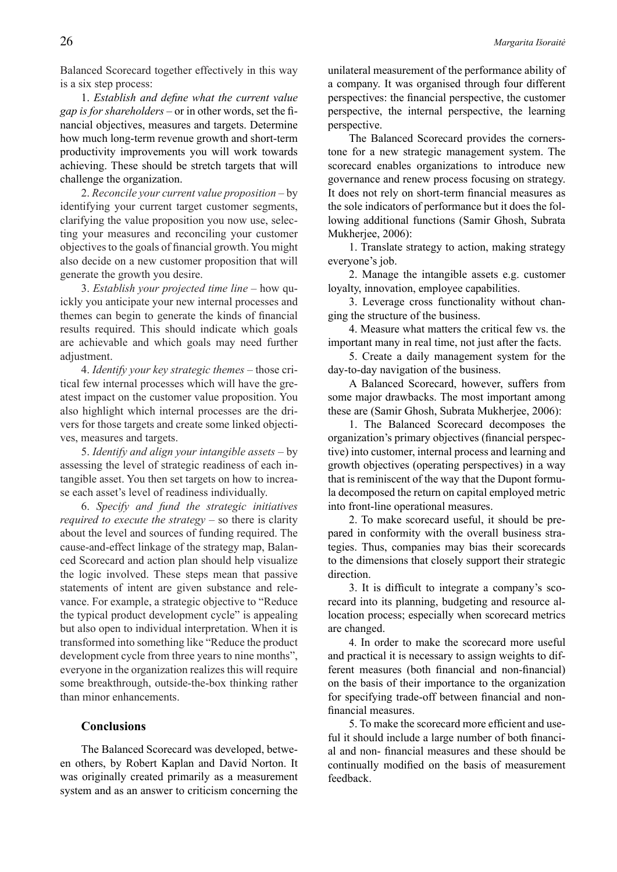Balanced Scorecard together effectively in this way is a six step process:

1. *Establish and define what the current value gap is for shareholders* – or in other words, set the financial objectives, measures and targets. Determine how much long-term revenue growth and short-term productivity improvements you will work towards achieving. These should be stretch targets that will challenge the organization.

2. *Reconcile your current value proposition* – by identifying your current target customer segments, clarifying the value proposition you now use, selecting your measures and reconciling your customer objectives to the goals of financial growth. You might also decide on a new customer proposition that will generate the growth you desire.

3. *Establish your projected time line* – how quickly you anticipate your new internal processes and themes can begin to generate the kinds of financial results required. This should indicate which goals are achievable and which goals may need further adjustment.

4. *Identify your key strategic themes* – those critical few internal processes which will have the greatest impact on the customer value proposition. You also highlight which internal processes are the drivers for those targets and create some linked objectives, measures and targets.

5. *Identify and align your intangible assets* – by assessing the level of strategic readiness of each intangible asset. You then set targets on how to increase each asset's level of readiness individually.

6. *Specify and fund the strategic initiatives required to execute the strategy* – so there is clarity about the level and sources of funding required. The cause-and-effect linkage of the strategy map, Balanced Scorecard and action plan should help visualize the logic involved. These steps mean that passive statements of intent are given substance and relevance. For example, a strategic objective to "Reduce the typical product development cycle" is appealing but also open to individual interpretation. When it is transformed into something like "Reduce the product development cycle from three years to nine months", everyone in the organization realizes this will require some breakthrough, outside-the-box thinking rather than minor enhancements.

## **Conclusions**

The Balanced Scorecard was developed, between others, by Robert Kaplan and David Norton. It was originally created primarily as a measurement system and as an answer to criticism concerning the

unilateral measurement of the performance ability of a company. It was organised through four different perspectives: the financial perspective, the customer perspective, the internal perspective, the learning perspective.

The Balanced Scorecard provides the cornerstone for a new strategic management system. The scorecard enables organizations to introduce new governance and renew process focusing on strategy. It does not rely on short-term financial measures as the sole indicators of performance but it does the following additional functions (Samir Ghosh, Subrata Mukherjee, 2006):

1. Translate strategy to action, making strategy everyone's job.

2. Manage the intangible assets e.g. customer loyalty, innovation, employee capabilities.

3. Leverage cross functionality without changing the structure of the business.

4. Measure what matters the critical few vs. the important many in real time, not just after the facts.

5. Create a daily management system for the day-to-day navigation of the business.

A Balanced Scorecard, however, suffers from some major drawbacks. The most important among these are (Samir Ghosh, Subrata Mukherjee, 2006):

1. The Balanced Scorecard decomposes the organization's primary objectives (financial perspective) into customer, internal process and learning and growth objectives (operating perspectives) in a way that is reminiscent of the way that the Dupont formula decomposed the return on capital employed metric into front-line operational measures.

2. To make scorecard useful, it should be prepared in conformity with the overall business strategies. Thus, companies may bias their scorecards to the dimensions that closely support their strategic direction.

3. It is difficult to integrate a company's scorecard into its planning, budgeting and resource allocation process; especially when scorecard metrics are changed.

4. In order to make the scorecard more useful and practical it is necessary to assign weights to different measures (both financial and non-financial) on the basis of their importance to the organization for specifying trade-off between financial and nonfinancial measures.

5. To make the scorecard more efficient and useful it should include a large number of both financial and non- financial measures and these should be continually modified on the basis of measurement feedback.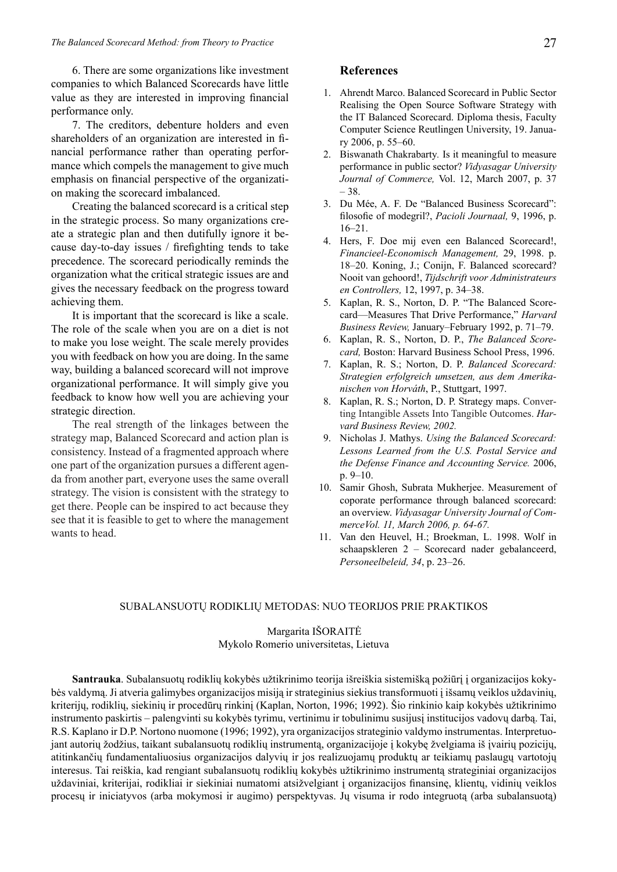6. There are some organizations like investment companies to which Balanced Scorecards have little value as they are interested in improving financial performance only.

7. The creditors, debenture holders and even shareholders of an organization are interested in financial performance rather than operating performance which compels the management to give much emphasis on financial perspective of the organization making the scorecard imbalanced.

Creating the balanced scorecard is a critical step in the strategic process. So many organizations create a strategic plan and then dutifully ignore it because day-to-day issues / firefighting tends to take precedence. The scorecard periodically reminds the organization what the critical strategic issues are and gives the necessary feedback on the progress toward achieving them.

It is important that the scorecard is like a scale. The role of the scale when you are on a diet is not to make you lose weight. The scale merely provides you with feedback on how you are doing. In the same way, building a balanced scorecard will not improve organizational performance. It will simply give you feedback to know how well you are achieving your strategic direction.

The real strength of the linkages between the strategy map, Balanced Scorecard and action plan is consistency. Instead of a fragmented approach where one part of the organization pursues a different agenda from another part, everyone uses the same overall strategy. The vision is consistent with the strategy to get there. People can be inspired to act because they see that it is feasible to get to where the management wants to head.

#### **References**

- 1. Ahrendt Marco. Balanced Scorecard in Public Sector Realising the Open Source Software Strategy with the IT Balanced Scorecard. Diploma thesis, Faculty Computer Science Reutlingen University, 19. January 2006, p. 55–60.
- 2. Biswanath Chakrabarty*.* Is it meaningful to measure performance in public sector? *Vidyasagar University Journal of Commerce,* Vol. 12, March 2007, p. 37 – 38.
- 3. Du Mée, A. F. De "Balanced Business Scorecard": filosofie of modegril?, *Pacioli Journaal,* 9, 1996, p. 16–21.
- 4. Hers, F. Doe mij even een Balanced Scorecard!, *Financieel-Economisch Management,* 29, 1998. p. 18–20. Koning, J.; Conijn, F. Balanced scorecard? Nooit van gehoord!, *Tijdschrift voor Administrateurs en Controllers,* 12, 1997, p. 34–38.
- 5. Kaplan, R. S., Norton, D. P. "The Balanced Scorecard—Measures That Drive Performance," *Harvard Business Review,* January–February 1992, p. 71–79.
- 6. Kaplan, R. S., Norton, D. P., *The Balanced Scorecard,* Boston: Harvard Business School Press, 1996.
- 7. Kaplan, R. S.; Norton, D. P. *Balanced Scorecard: Strategien erfolgreich umsetzen, aus dem Amerikanischen von Horváth*, P., Stuttgart, 1997.
- 8. Kaplan, R. S.; Norton, D. P. Strategy maps. Converting Intangible Assets Into Tangible Outcomes. *Harvard Business Review, 2002.*
- 9. Nicholas J. Mathys. *Using the Balanced Scorecard: Lessons Learned from the U.S. Postal Service and the Defense Finance and Accounting Service.* 2006, p. 9–10.
- 10. Samir Ghosh, Subrata Mukherjee. Measurement of coporate performance through balanced scorecard: an overview. *Vidyasagar University Journal of CommerceVol. 11, March 2006, p. 64-67.*
- 11. Van den Heuvel, H.; Broekman, L. 1998. Wolf in schaapskleren 2 – Scorecard nader gebalanceerd, *Personeelbeleid, 34*, p. 23–26.

#### SUBALANSUOTŲ RODIKLIŲ METODAS: NUO TEORIJOS PRIE PRAKTIKOS

## Margarita IŠORAITĖ Mykolo Romerio universitetas, Lietuva

**Santrauka**. Subalansuotų rodiklių kokybės užtikrinimo teorija išreiškia sistemišką požiūrį į organizacijos kokybės valdymą. Ji atveria galimybes organizacijos misiją ir strateginius siekius transformuoti į išsamų veiklos uždavinių, kriterijų, rodiklių, siekinių ir procedūrų rinkinį (Kaplan, Norton, 1996; 1992). Šio rinkinio kaip kokybės užtikrinimo instrumento paskirtis – palengvinti su kokybės tyrimu, vertinimu ir tobulinimu susijusį institucijos vadovų darbą. Tai, R.S. Kaplano ir D.P. Nortono nuomone (1996; 1992), yra organizacijos strateginio valdymo instrumentas. Interpretuojant autorių žodžius, taikant subalansuotų rodiklių instrumentą, organizacijoje į kokybę žvelgiama iš įvairių pozicijų, atitinkančių fundamentaliuosius organizacijos dalyvių ir jos realizuojamų produktų ar teikiamų paslaugų vartotojų interesus. Tai reiškia, kad rengiant subalansuotų rodiklių kokybės užtikrinimo instrumentą strateginiai organizacijos uždaviniai, kriterijai, rodikliai ir siekiniai numatomi atsižvelgiant į organizacijos finansinę, klientų, vidinių veiklos procesų ir iniciatyvos (arba mokymosi ir augimo) perspektyvas. Jų visuma ir rodo integruotą (arba subalansuotą)